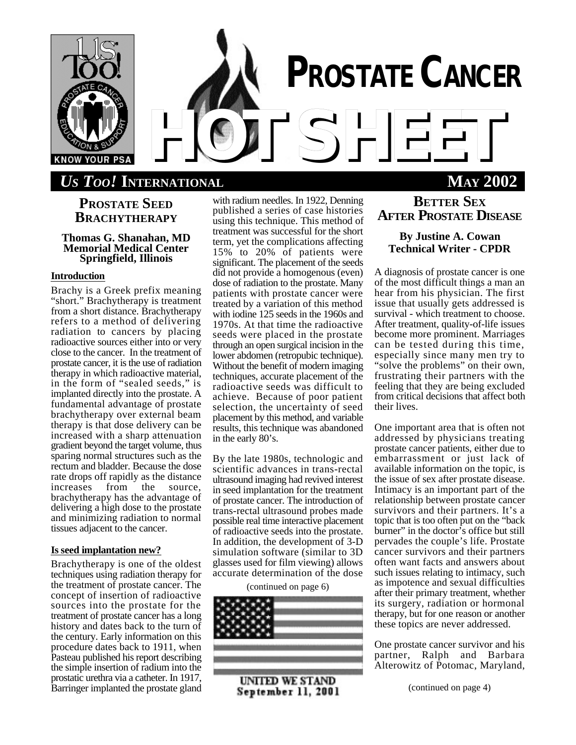

# **PROSTATE SEED BRACHYTHERAPY**

## **Thomas G. Shanahan, MD Memorial Medical Center Springfield, Illinois**

## **Introduction**

Brachy is a Greek prefix meaning "short." Brachytherapy is treatment from a short distance. Brachytherapy refers to a method of delivering radiation to cancers by placing radioactive sources either into or very close to the cancer. In the treatment of prostate cancer, it is the use of radiation therapy in which radioactive material, in the form of "sealed seeds," is implanted directly into the prostate. A fundamental advantage of prostate brachytherapy over external beam therapy is that dose delivery can be increased with a sharp attenuation gradient beyond the target volume, thus sparing normal structures such as the rectum and bladder. Because the dose rate drops off rapidly as the distance<br>increases from the source, increases from the source, brachytherapy has the advantage of delivering a high dose to the prostate and minimizing radiation to normal tissues adjacent to the cancer.

### **Is seed implantation new?**

Brachytherapy is one of the oldest techniques using radiation therapy for the treatment of prostate cancer. The concept of insertion of radioactive sources into the prostate for the treatment of prostate cancer has a long history and dates back to the turn of the century. Early information on this procedure dates back to 1911, when Pasteau published his report describing the simple insertion of radium into the prostatic urethra via a catheter. In 1917, Barringer implanted the prostate gland

with radium needles. In 1922, Denning published a series of case histories using this technique. This method of treatment was successful for the short term, yet the complications affecting 15% to 20% of patients were significant. The placement of the seeds did not provide a homogenous (even) dose of radiation to the prostate. Many patients with prostate cancer were treated by a variation of this method with iodine 125 seeds in the 1960s and 1970s. At that time the radioactive seeds were placed in the prostate through an open surgical incision in the lower abdomen (retropubic technique). Without the benefit of modern imaging techniques, accurate placement of the radioactive seeds was difficult to achieve. Because of poor patient selection, the uncertainty of seed placement by this method, and variable results, this technique was abandoned in the early 80's.

By the late 1980s, technologic and scientific advances in trans-rectal ultrasound imaging had revived interest in seed implantation for the treatment of prostate cancer. The introduction of trans-rectal ultrasound probes made possible real time interactive placement of radioactive seeds into the prostate. In addition, the development of 3-D simulation software (similar to 3D glasses used for film viewing) allows accurate determination of the dose

(continued on page 6)



September 11, 2001

# **BETTER SEX AFTER PROSTATE DISEASE**

# **By Justine A. Cowan Technical Writer - CPDR**

A diagnosis of prostate cancer is one of the most difficult things a man an hear from his physician. The first issue that usually gets addressed is survival - which treatment to choose. After treatment, quality-of-life issues become more prominent. Marriages can be tested during this time, especially since many men try to "solve the problems" on their own, frustrating their partners with the feeling that they are being excluded from critical decisions that affect both their lives.

One important area that is often not addressed by physicians treating prostate cancer patients, either due to embarrassment or just lack of available information on the topic, is the issue of sex after prostate disease. Intimacy is an important part of the relationship between prostate cancer survivors and their partners. It's a topic that is too often put on the "back burner" in the doctor's office but still pervades the couple's life. Prostate cancer survivors and their partners often want facts and answers about such issues relating to intimacy, such as impotence and sexual difficulties after their primary treatment, whether its surgery, radiation or hormonal therapy, but for one reason or another these topics are never addressed.

One prostate cancer survivor and his partner, Ralph and Barbara Alterowitz of Potomac, Maryland,

(continued on page 4)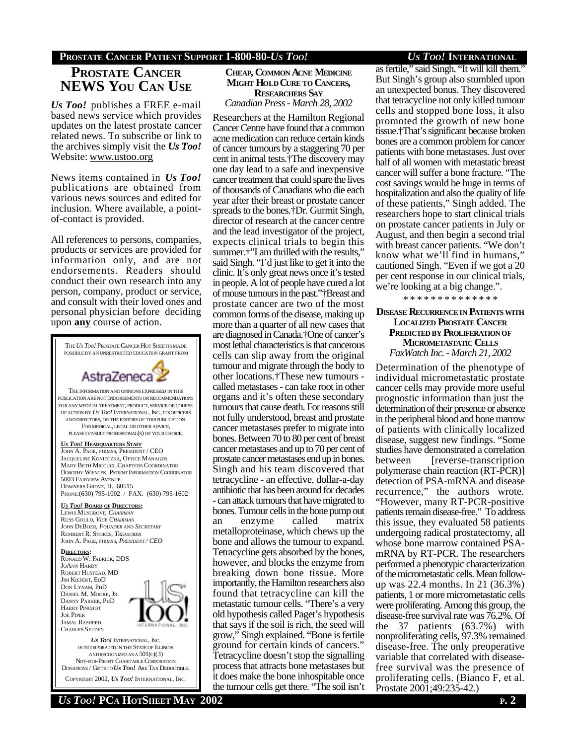# **PROSTATE CANCER PATIENT SUPPORT 1-800-80-***US TOO! US TOO!* **INTERNATIONAL**

# **PROSTATE CANCER NEWS YOU CAN USE**

*Us Too!* publishes a FREE e-mail based news service which provides updates on the latest prostate cancer related news. To subscribe or link to the archives simply visit the *Us Too!* Website: www.ustoo.org

News items contained in *Us Too!* publications are obtained from various news sources and edited for inclusion. Where available, a pointof-contact is provided.

All references to persons, companies, products or services are provided for information only, and are not endorsements. Readers should conduct their own research into any person, company, product or service, and consult with their loved ones and personal physician before deciding upon **any** course of action.



#### **CHEAP, COMMON ACNE MEDICINE MIGHT HOLD CURE TO CANCERS, RESEARCHERS SAY** *Canadian Press - March 28, 2002*

Researchers at the Hamilton Regional Cancer Centre have found that a common acne medication can reduce certain kinds of cancer tumours by a staggering 70 per cent in animal tests.†The discovery may one day lead to a safe and inexpensive cancer treatment that could spare the lives of thousands of Canadians who die each year after their breast or prostate cancer spreads to the bones.†Dr. Gurmit Singh, director of research at the cancer centre and the lead investigator of the project, expects clinical trials to begin this summer.<sup>†\*</sup>I am thrilled with the results,\*\* said Singh. "I'd just like to get it into the clinic. It's only great news once it's tested in people. A lot of people have cured a lot of mouse tumours in the past."†Breast and prostate cancer are two of the most common forms of the disease, making up more than a quarter of all new cases that are diagnosed in Canada.†One of cancer's most lethal characteristics is that cancerous cells can slip away from the original tumour and migrate through the body to other locations.†These new tumours called metastases - can take root in other organs and it's often these secondary tumours that cause death. For reasons still not fully understood, breast and prostate cancer metastases prefer to migrate into bones. Between 70 to 80 per cent of breast cancer metastases and up to 70 per cent of prostate cancer metastases end up in bones. Singh and his team discovered that tetracycline - an effective, dollar-a-day antibiotic that has been around for decades - can attack tumours that have migrated to bones. Tumour cells in the bone pump out an enzyme called matrix metalloproteinase, which chews up the bone and allows the tumour to expand. Tetracycline gets absorbed by the bones, however, and blocks the enzyme from breaking down bone tissue. More importantly, the Hamilton researchers also found that tetracycline can kill the metastatic tumour cells. "There's a very old hypothesis called Paget's hypothesis that says if the soil is rich, the seed will grow," Singh explained. "Bone is fertile ground for certain kinds of cancers." Tetracycline doesn't stop the signalling process that attracts bone metastases but it does make the bone inhospitable once the tumour cells get there. "The soil isn't

as fertile," said Singh. "It will kill them." But Singh's group also stumbled upon an unexpected bonus. They discovered that tetracycline not only killed tumour cells and stopped bone loss, it also promoted the growth of new bone tissue.†That's significant because broken bones are a common problem for cancer patients with bone metastases. Just over half of all women with metastatic breast cancer will suffer a bone fracture. "The cost savings would be huge in terms of hospitalization and also the quality of life of these patients," Singh added. The researchers hope to start clinical trials on prostate cancer patients in July or August, and then begin a second trial with breast cancer patients. "We don't know what we'll find in humans," cautioned Singh. "Even if we got a 20 per cent response in our clinical trials, we're looking at a big change.".

\* \* \* \* \* \* \* \* \* \* \* \* \* \*

## **DISEASE RECURRENCE IN PATIENTSWITH LOCALIZED PROSTATE CANCER PREDICTED BY PROLIFERATIONOF MICROMETASTATIC CELLS** *FaxWatch Inc. - March 21, 2002*

Determination of the phenotype of individual micrometastatic prostate cancer cells may provide more useful prognostic information than just the determination of their presence or absence in the peripheral blood and bone marrow of patients with clinically localized disease, suggest new findings. "Some studies have demonstrated a correlation between [reverse-transcription] polymerase chain reaction (RT-PCR)] detection of PSA-mRNA and disease recurrence," the authors wrote. "However, many RT-PCR-positive patients remain disease-free." To address this issue, they evaluated 58 patients undergoing radical prostatectomy, all whose bone marrow contained PSAmRNA by RT-PCR. The researchers performed a phenotypic characterization of the micrometastatic cells. Mean followup was 22.4 months. In 21 (36.3%) patients, 1 or more micrometastatic cells were proliferating. Among this group, the disease-free survival rate was 76.2%. Of the 37 patients (63.7%) with nonproliferating cells, 97.3% remained disease-free. The only preoperative variable that correlated with diseasefree survival was the presence of proliferating cells. (Bianco F, et al. Prostate 2001;49:235-42.)

*US TOO!* **PCA HOTSHEET MAY 2002 P. 2**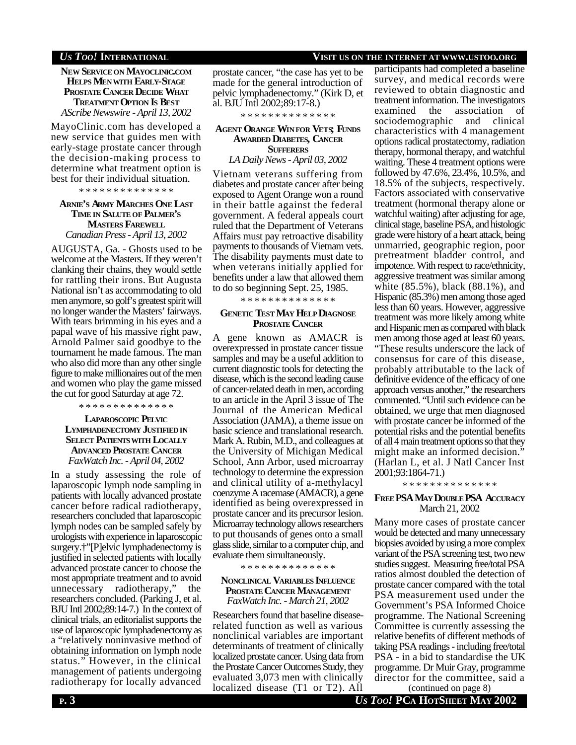# *US TOO!* **INTERNATIONAL VISIT US ON THE INTERNET AT WWW.USTOO.ORG**

**NEW SERVICE ON MAYOCLINIC.COM HELPS MENWITH EARLY-STAGE PROSTATE CANCER DECIDE WHAT TREATMENT OPTION IS BEST** *AScribe Newswire - April 13, 2002*

MayoClinic.com has developed a new service that guides men with early-stage prostate cancer through the decision-making process to determine what treatment option is best for their individual situation.

\* \* \* \* \* \* \* \* \* \* \* \* \* \*

# **ARNIE'S ARMY MARCHES ONE LAST TIME IN SALUTE OF PALMER'S MASTERS FAREWELL**

*Canadian Press - April 13, 2002*

AUGUSTA, Ga. - Ghosts used to be welcome at the Masters. If they weren't clanking their chains, they would settle for rattling their irons. But Augusta National isn't as accommodating to old men anymore, so golf's greatest spirit will no longer wander the Masters' fairways. With tears brimming in his eyes and a papal wave of his massive right paw, Arnold Palmer said goodbye to the tournament he made famous. The man who also did more than any other single figure to make millionaires out of the men and women who play the game missed the cut for good Saturday at age 72.

\* \* \* \* \* \* \* \* \* \* \* \* \* \*

### **LAPAROSCOPIC PELVIC LYMPHADENECTOMY JUSTIFIED IN SELECT PATIENTSWITH LOCALLY ADVANCED PROSTATE CANCER** *FaxWatch Inc. - April 04, 2002*

In a study assessing the role of laparoscopic lymph node sampling in patients with locally advanced prostate cancer before radical radiotherapy, researchers concluded that laparoscopic lymph nodes can be sampled safely by urologists with experience in laparoscopic surgery.†"[P]elvic lymphadenectomy is justified in selected patients with locally advanced prostate cancer to choose the most appropriate treatment and to avoid unnecessary radiotherapy," the researchers concluded. (Parking J, et al. BJU Intl 2002;89:14-7.) In the context of clinical trials, an editorialist supports the use of laparoscopic lymphadenectomy as a "relatively noninvasive method of obtaining information on lymph node status." However, in the clinical management of patients undergoing radiotherapy for locally advanced

prostate cancer, "the case has yet to be made for the general introduction of pelvic lymphadenectomy." (Kirk D, et al. BJU Intl 2002;89:17-8.)

\* \* \* \* \* \* \* \* \* \* \* \* \* \*

### **AGENT ORANGE WIN FOR VETS; FUNDS AWARDED DIABETES, CANCER SUFFERERS**

*LA Daily News - April 03, 2002*

Vietnam veterans suffering from diabetes and prostate cancer after being exposed to Agent Orange won a round in their battle against the federal government. A federal appeals court ruled that the Department of Veterans Affairs must pay retroactive disability payments to thousands of Vietnam vets. The disability payments must date to when veterans initially applied for benefits under a law that allowed them to do so beginning Sept. 25, 1985.

\* \* \* \* \* \* \* \* \* \* \* \* \* \*

### **GENETIC TEST MAY HELP DIAGNOSE PROSTATE CANCER**

A gene known as AMACR is overexpressed in prostate cancer tissue samples and may be a useful addition to current diagnostic tools for detecting the disease, which is the second leading cause of cancer-related death in men, according to an article in the April 3 issue of The Journal of the American Medical Association (JAMA), a theme issue on basic science and translational research. Mark A. Rubin, M.D., and colleagues at the University of Michigan Medical School, Ann Arbor, used microarray technology to determine the expression and clinical utility of a-methylacyl coenzyme A racemase (AMACR), a gene identified as being overexpressed in prostate cancer and its precursor lesion. Microarray technology allows researchers to put thousands of genes onto a small glass slide, similar to a computer chip, and evaluate them simultaneously.

\* \* \* \* \* \* \* \* \* \* \* \* \* \*

#### **NONCLINICAL VARIABLES INFLUENCE PROSTATE CANCER MANAGEMENT** *FaxWatch Inc. - March 21, 2002*

Researchers found that baseline diseaserelated function as well as various nonclinical variables are important determinants of treatment of clinically localized prostate cancer. Using data from the Prostate Cancer Outcomes Study, they evaluated 3,073 men with clinically localized disease (T1 or T2). All

participants had completed a baseline survey, and medical records were reviewed to obtain diagnostic and treatment information. The investigators examined the association of sociodemographic and clinical characteristics with 4 management options radical prostatectomy, radiation therapy, hormonal therapy, and watchful waiting. These 4 treatment options were followed by 47.6%, 23.4%, 10.5%, and 18.5% of the subjects, respectively. Factors associated with conservative treatment (hormonal therapy alone or watchful waiting) after adjusting for age, clinical stage, baseline PSA, and histologic grade were history of a heart attack, being unmarried, geographic region, poor pretreatment bladder control, and impotence. With respect to race/ethnicity, aggressive treatment was similar among white (85.5%), black (88.1%), and Hispanic (85.3%) men among those aged less than 60 years. However, aggressive treatment was more likely among white and Hispanic men as compared with black men among those aged at least 60 years. "These results underscore the lack of consensus for care of this disease, probably attributable to the lack of definitive evidence of the efficacy of one approach versus another," the researchers commented. "Until such evidence can be obtained, we urge that men diagnosed with prostate cancer be informed of the potential risks and the potential benefits of all 4 main treatment options so that they might make an informed decision." (Harlan L, et al. J Natl Cancer Inst 2001;93:1864-71.)

\* \* \* \* \* \* \* \* \* \* \* \* \* \*

#### **FREE PSA MAY DOUBLE PSA ACCURACY** March 21, 2002

Many more cases of prostate cancer would be detected and many unnecessary biopsies avoided by using a more complex variant of the PSA screening test, two new studies suggest. Measuring free/total PSA ratios almost doubled the detection of prostate cancer compared with the total PSA measurement used under the Government's PSA Informed Choice programme. The National Screening Committee is currently assessing the relative benefits of different methods of taking PSA readings - including free/total PSA - in a bid to standardise the UK programme. Dr Muir Gray, programme director for the committee, said a

(continued on page 8)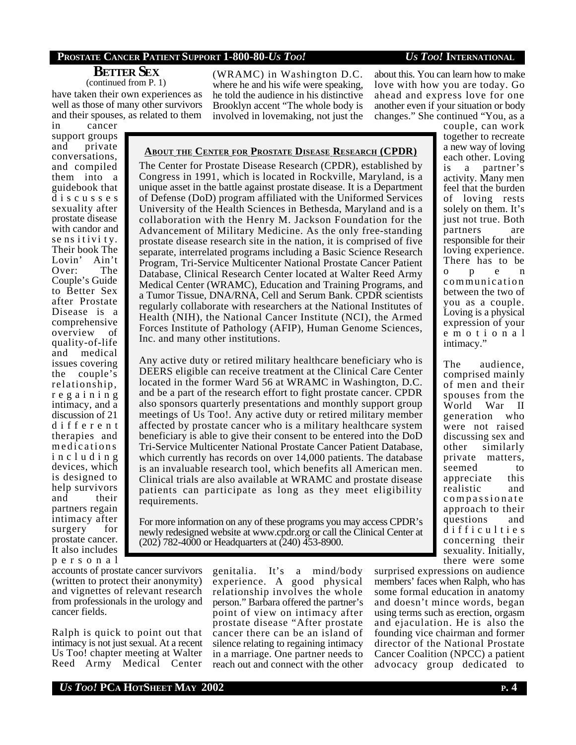# **PROSTATE CANCER PATIENT SUPPORT 1-800-80-***US TOO! US TOO!* **INTERNATIONAL**

## **BETTER SEX** (continued from P. 1)

have taken their own experiences as well as those of many other survivors and their spouses, as related to them

(WRAMC) in Washington D.C. where he and his wife were speaking, he told the audience in his distinctive Brooklyn accent "The whole body is involved in lovemaking, not just the about this. You can learn how to make love with how you are today. Go ahead and express love for one another even if your situation or body

changes." She continued "You, as a

in cancer support groups and private conversations, and compiled them into a guidebook that d i s c u s s e s sexuality after prostate disease with candor and se ns it ivi ty. Their book The Lovin' Ain't Over: The Couple's Guide to Better Sex after Prostate Disease is a comprehensive overview of quality-of-life and medical issues covering the couple's relationship, r e g a i n i n g intimacy, and a discussion of 21 d i f f e r e n t therapies and medications i n c l u d i n g devices, which is designed to help survivors and their partners regain intimacy after surgery for prostate cancer. It also includes p e r s o n a l

**ABOUT THE CENTER FOR PROSTATE DISEASE RESEARCH (CPDR)**

The Center for Prostate Disease Research (CPDR), established by Congress in 1991, which is located in Rockville, Maryland, is a unique asset in the battle against prostate disease. It is a Department of Defense (DoD) program affiliated with the Uniformed Services University of the Health Sciences in Bethesda, Maryland and is a collaboration with the Henry M. Jackson Foundation for the Advancement of Military Medicine. As the only free-standing prostate disease research site in the nation, it is comprised of five separate, interrelated programs including a Basic Science Research Program, Tri-Service Multicenter National Prostate Cancer Patient Database, Clinical Research Center located at Walter Reed Army Medical Center (WRAMC), Education and Training Programs, and a Tumor Tissue, DNA/RNA, Cell and Serum Bank. CPDR scientists regularly collaborate with researchers at the National Institutes of Health (NIH), the National Cancer Institute (NCI), the Armed Forces Institute of Pathology (AFIP), Human Genome Sciences, Inc. and many other institutions.

Any active duty or retired military healthcare beneficiary who is DEERS eligible can receive treatment at the Clinical Care Center located in the former Ward 56 at WRAMC in Washington, D.C. and be a part of the research effort to fight prostate cancer. CPDR also sponsors quarterly presentations and monthly support group meetings of Us Too!. Any active duty or retired military member affected by prostate cancer who is a military healthcare system beneficiary is able to give their consent to be entered into the DoD Tri-Service Multicenter National Prostate Cancer Patient Database, which currently has records on over 14,000 patients. The database is an invaluable research tool, which benefits all American men. Clinical trials are also available at WRAMC and prostate disease patients can participate as long as they meet eligibility requirements.

For more information on any of these programs you may access CPDR's newly redesigned website at www.cpdr.org or call the Clinical Center at (202) 782-4000 or Headquarters at (240) 453-8900.

accounts of prostate cancer survivors (written to protect their anonymity) and vignettes of relevant research from professionals in the urology and cancer fields.

Ralph is quick to point out that intimacy is not just sexual. At a recent Us Too! chapter meeting at Walter Reed Army Medical Center genitalia. It's a mind/body experience. A good physical relationship involves the whole person." Barbara offered the partner's point of view on intimacy after prostate disease "After prostate cancer there can be an island of silence relating to regaining intimacy in a marriage. One partner needs to reach out and connect with the other couple, can work together to recreate a new way of loving each other. Loving is a partner's activity. Many men feel that the burden of loving rests solely on them. It's just not true. Both partners are responsible for their loving experience. There has to be o p e n communication between the two of you as a couple. Loving is a physical expression of your e m o t i o n a l intimacy."

The audience, comprised mainly of men and their spouses from the World War II generation who were not raised discussing sex and other similarly private matters, seemed to appreciate this realistic and compassionate approach to their questions and d i f f i c u l t i e s concerning their sexuality. Initially, there were some

surprised expressions on audience members' faces when Ralph, who has some formal education in anatomy and doesn't mince words, began using terms such as erection, orgasm and ejaculation. He is also the founding vice chairman and former director of the National Prostate Cancer Coalition (NPCC) a patient advocacy group dedicated to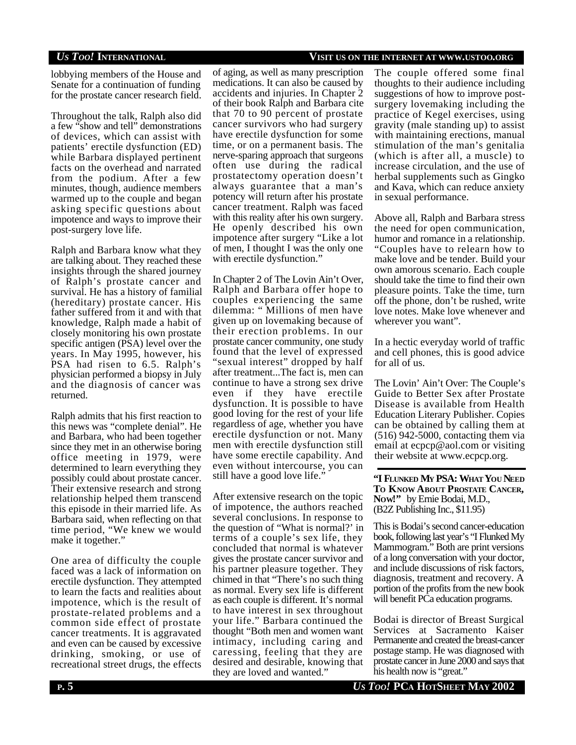*US TOO!* **INTERNATIONAL VISIT US ON THE INTERNET AT WWW.USTOO.ORG**

lobbying members of the House and Senate for a continuation of funding for the prostate cancer research field.

Throughout the talk, Ralph also did a few "show and tell" demonstrations of devices, which can assist with patients' erectile dysfunction (ED) while Barbara displayed pertinent facts on the overhead and narrated from the podium. After a few minutes, though, audience members warmed up to the couple and began asking specific questions about impotence and ways to improve their post-surgery love life.

Ralph and Barbara know what they are talking about. They reached these insights through the shared journey of Ralph's prostate cancer and survival. He has a history of familial (hereditary) prostate cancer. His father suffered from it and with that knowledge, Ralph made a habit of closely monitoring his own prostate specific antigen (PSA) level over the years. In May 1995, however, his PSA had risen to 6.5. Ralph's physician performed a biopsy in July and the diagnosis of cancer was returned.

Ralph admits that his first reaction to this news was "complete denial". He and Barbara, who had been together since they met in an otherwise boring office meeting in 1979, were determined to learn everything they possibly could about prostate cancer. Their extensive research and strong relationship helped them transcend this episode in their married life. As Barbara said, when reflecting on that time period, "We knew we would make it together."

One area of difficulty the couple faced was a lack of information on erectile dysfunction. They attempted to learn the facts and realities about impotence, which is the result of prostate-related problems and a common side effect of prostate cancer treatments. It is aggravated and even can be caused by excessive drinking, smoking, or use of recreational street drugs, the effects

of aging, as well as many prescription medications. It can also be caused by accidents and injuries. In Chapter 2 of their book Ralph and Barbara cite that 70 to 90 percent of prostate cancer survivors who had surgery have erectile dysfunction for some time, or on a permanent basis. The nerve-sparing approach that surgeons often use during the radical prostatectomy operation doesn't always guarantee that a man's potency will return after his prostate cancer treatment. Ralph was faced with this reality after his own surgery. He openly described his own impotence after surgery "Like a lot of men, I thought I was the only one with erectile dysfunction."

In Chapter 2 of The Lovin Ain't Over, Ralph and Barbara offer hope to couples experiencing the same dilemma: " Millions of men have given up on lovemaking because of their erection problems. In our prostate cancer community, one study found that the level of expressed "sexual interest" dropped by half after treatment...The fact is, men can continue to have a strong sex drive even if they have erectile dysfunction. It is possible to have good loving for the rest of your life regardless of age, whether you have erectile dysfunction or not. Many men with erectile dysfunction still have some erectile capability. And even without intercourse, you can still have a good love life."

After extensive research on the topic of impotence, the authors reached several conclusions. In response to the question of "What is normal?' in terms of a couple's sex life, they concluded that normal is whatever gives the prostate cancer survivor and his partner pleasure together. They chimed in that "There's no such thing as normal. Every sex life is different as each couple is different. It's normal to have interest in sex throughout your life." Barbara continued the thought "Both men and women want intimacy, including caring and caressing, feeling that they are desired and desirable, knowing that they are loved and wanted."

The couple offered some final thoughts to their audience including suggestions of how to improve postsurgery lovemaking including the practice of Kegel exercises, using gravity (male standing up) to assist with maintaining erections, manual stimulation of the man's genitalia (which is after all, a muscle) to increase circulation, and the use of herbal supplements such as Gingko and Kava, which can reduce anxiety in sexual performance.

Above all, Ralph and Barbara stress the need for open communication, humor and romance in a relationship. "Couples have to relearn how to make love and be tender. Build your own amorous scenario. Each couple should take the time to find their own pleasure points. Take the time, turn off the phone, don't be rushed, write love notes. Make love whenever and wherever you want".

In a hectic everyday world of traffic and cell phones, this is good advice for all of us.

The Lovin' Ain't Over: The Couple's Guide to Better Sex after Prostate Disease is available from Health Education Literary Publisher. Copies can be obtained by calling them at (516) 942-5000, contacting them via email at ecpcp@aol.com or visiting their website at www.ecpcp.org.

**"I FLUNKED MY PSA: WHAT YOU NEED TO KNOW ABOUT PROSTATE CANCER, NOW!"** by Ernie Bodai, M.D., (B2Z Publishing Inc., \$11.95)

This is Bodai's second cancer-education book, following last year's "I Flunked My Mammogram." Both are print versions of a long conversation with your doctor, and include discussions of risk factors, diagnosis, treatment and recovery. A portion of the profits from the new book will benefit PCa education programs.

Bodai is director of Breast Surgical Services at Sacramento Kaiser Permanente and created the breast-cancer postage stamp. He was diagnosed with prostate cancer in June 2000 and says that his health now is "great."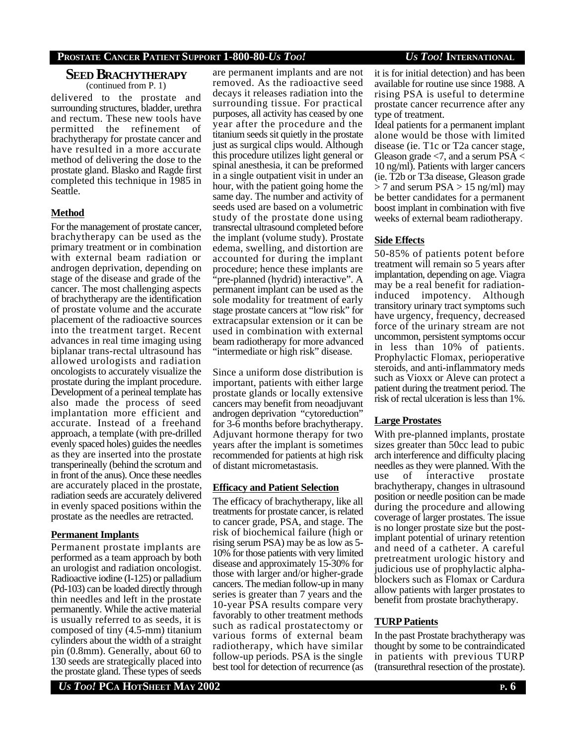# **PROSTATE CANCER PATIENT SUPPORT 1-800-80-***US TOO! US TOO!* **INTERNATIONAL**

### **SEED BRACHYTHERAPY** (continued from P. 1)

delivered to the prostate and surrounding structures, bladder, urethra and rectum. These new tools have permitted the refinement of brachytherapy for prostate cancer and have resulted in a more accurate method of delivering the dose to the prostate gland. Blasko and Ragde first completed this technique in 1985 in Seattle.

# **Method**

For the management of prostate cancer, brachytherapy can be used as the primary treatment or in combination with external beam radiation or androgen deprivation, depending on stage of the disease and grade of the cancer. The most challenging aspects of brachytherapy are the identification of prostate volume and the accurate placement of the radioactive sources into the treatment target. Recent advances in real time imaging using biplanar trans-rectal ultrasound has allowed urologists and radiation oncologists to accurately visualize the prostate during the implant procedure. Development of a perineal template has also made the process of seed implantation more efficient and accurate. Instead of a freehand approach, a template (with pre-drilled evenly spaced holes) guides the needles as they are inserted into the prostate transperineally (behind the scrotum and in front of the anus). Once these needles are accurately placed in the prostate, radiation seeds are accurately delivered in evenly spaced positions within the prostate as the needles are retracted.

## **Permanent Implants**

Permanent prostate implants are performed as a team approach by both an urologist and radiation oncologist. Radioactive iodine (I-125) or palladium (Pd-103) can be loaded directly through thin needles and left in the prostate permanently. While the active material is usually referred to as seeds, it is composed of tiny (4.5-mm) titanium cylinders about the width of a straight pin (0.8mm). Generally, about 60 to 130 seeds are strategically placed into the prostate gland. These types of seeds

are permanent implants and are not removed. As the radioactive seed decays it releases radiation into the surrounding tissue. For practical purposes, all activity has ceased by one year after the procedure and the titanium seeds sit quietly in the prostate just as surgical clips would. Although this procedure utilizes light general or spinal anesthesia, it can be preformed in a single outpatient visit in under an hour, with the patient going home the same day. The number and activity of seeds used are based on a volumetric study of the prostate done using transrectal ultrasound completed before the implant (volume study). Prostate edema, swelling, and distortion are accounted for during the implant procedure; hence these implants are "pre-planned (hydrid) interactive". A permanent implant can be used as the sole modality for treatment of early stage prostate cancers at "low risk" for extracapsular extension or it can be used in combination with external beam radiotherapy for more advanced "intermediate or high risk" disease.

Since a uniform dose distribution is important, patients with either large prostate glands or locally extensive cancers may benefit from neoadjuvant androgen deprivation "cytoreduction" for 3-6 months before brachytherapy. Adjuvant hormone therapy for two years after the implant is sometimes recommended for patients at high risk of distant micrometastasis.

### **Efficacy and Patient Selection**

The efficacy of brachytherapy, like all treatments for prostate cancer, is related to cancer grade, PSA, and stage. The risk of biochemical failure (high or rising serum PSA) may be as low as 5- 10% for those patients with very limited disease and approximately 15-30% for those with larger and/or higher-grade cancers. The median follow-up in many series is greater than 7 years and the 10-year PSA results compare very favorably to other treatment methods such as radical prostatectomy or various forms of external beam radiotherapy, which have similar follow-up periods. PSA is the single best tool for detection of recurrence (as it is for initial detection) and has been available for routine use since 1988. A rising PSA is useful to determine prostate cancer recurrence after any type of treatment.

Ideal patients for a permanent implant alone would be those with limited disease (ie. T1c or T2a cancer stage, Gleason grade  $\leq$ 7, and a serum PSA  $\leq$ 10 ng/ml). Patients with larger cancers (ie. T2b or T3a disease, Gleason grade  $>$  7 and serum PSA  $>$  15 ng/ml) may be better candidates for a permanent boost implant in combination with five weeks of external beam radiotherapy.

## **Side Effects**

50-85% of patients potent before treatment will remain so 5 years after implantation, depending on age. Viagra may be a real benefit for radiationinduced impotency. Although transitory urinary tract symptoms such have urgency, frequency, decreased force of the urinary stream are not uncommon, persistent symptoms occur in less than 10% of patients. Prophylactic Flomax, perioperative steroids, and anti-inflammatory meds such as Vioxx or Aleve can protect a patient during the treatment period. The risk of rectal ulceration is less than 1%.

# **Large Prostates**

With pre-planned implants, prostate sizes greater than 50cc lead to pubic arch interference and difficulty placing needles as they were planned. With the use of interactive prostate brachytherapy, changes in ultrasound position or needle position can be made during the procedure and allowing coverage of larger prostates. The issue is no longer prostate size but the postimplant potential of urinary retention and need of a catheter. A careful pretreatment urologic history and judicious use of prophylactic alphablockers such as Flomax or Cardura allow patients with larger prostates to benefit from prostate brachytherapy.

# **TURP Patients**

In the past Prostate brachytherapy was thought by some to be contraindicated in patients with previous TURP (transurethral resection of the prostate).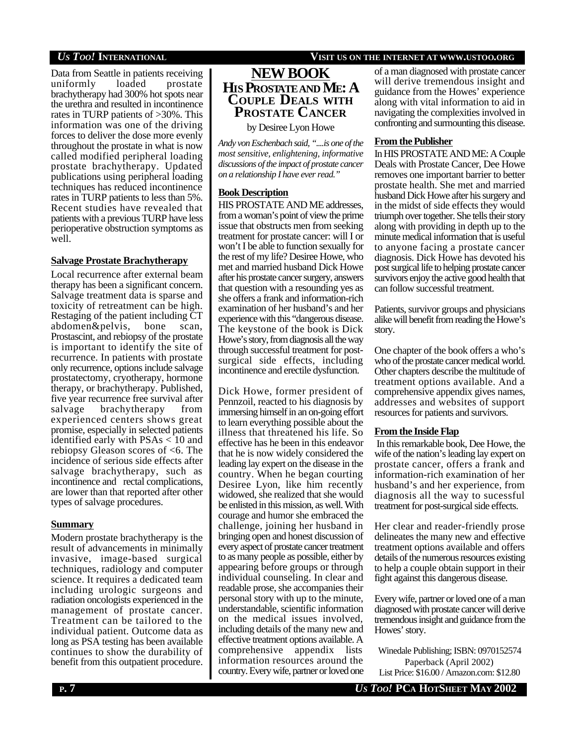Data from Seattle in patients receiving uniformly loaded prostate brachytherapy had 300% hot spots near the urethra and resulted in incontinence rates in TURP patients of >30%. This information was one of the driving forces to deliver the dose more evenly throughout the prostate in what is now called modified peripheral loading prostate brachytherapy. Updated publications using peripheral loading techniques has reduced incontinence rates in TURP patients to less than 5%. Recent studies have revealed that patients with a previous TURP have less perioperative obstruction symptoms as well.

# **Salvage Prostate Brachytherapy**

Local recurrence after external beam therapy has been a significant concern. Salvage treatment data is sparse and toxicity of retreatment can be high. Restaging of the patient including CT abdomen&pelvis, bone scan, Prostascint, and rebiopsy of the prostate is important to identify the site of recurrence. In patients with prostate only recurrence, options include salvage prostatectomy, cryotherapy, hormone therapy, or brachytherapy. Published, five year recurrence free survival after salvage brachytherapy from experienced centers shows great promise, especially in selected patients identified early with PSAs < 10 and rebiopsy Gleason scores of <6. The incidence of serious side effects after salvage brachytherapy, such as incontinence and rectal complications, are lower than that reported after other types of salvage procedures.

# **Summary**

Modern prostate brachytherapy is the result of advancements in minimally invasive, image-based surgical techniques, radiology and computer science. It requires a dedicated team including urologic surgeons and radiation oncologists experienced in the management of prostate cancer. Treatment can be tailored to the individual patient. Outcome data as long as PSA testing has been available continues to show the durability of benefit from this outpatient procedure.

# *US TOO!* **INTERNATIONAL VISIT US ON THE INTERNET AT WWW.USTOO.ORG**

# **NEWBOOK HIS PROSTATEAND ME: A COUPLE DEALS WITH PROSTATE CANCER**

by Desiree Lyon Howe

*Andy von Eschenbach said, "....is one of the most sensitive, enlightening, informative discussions of the impact of prostate cancer on a relationship I have ever read."*

# **Book Description**

HIS PROSTATE AND ME addresses, from a woman's point of view the prime issue that obstructs men from seeking treatment for prostate cancer: will I or won't I be able to function sexually for the rest of my life? Desiree Howe, who met and married husband Dick Howe after his prostate cancer surgery, answers that question with a resounding yes as she offers a frank and information-rich examination of her husband's and her experience with this "dangerous disease. The keystone of the book is Dick Howe's story, from diagnosis all the way through successful treatment for postsurgical side effects, including incontinence and erectile dysfunction.

Dick Howe, former president of Pennzoil, reacted to his diagnosis by immersing himself in an on-going effort to learn everything possible about the illness that threatened his life. So effective has he been in this endeavor that he is now widely considered the leading lay expert on the disease in the country. When he began courting Desiree Lyon, like him recently widowed, she realized that she would be enlisted in this mission, as well. With courage and humor she embraced the challenge, joining her husband in bringing open and honest discussion of every aspect of prostate cancer treatment to as many people as possible, either by appearing before groups or through individual counseling. In clear and readable prose, she accompanies their personal story with up to the minute, understandable, scientific information on the medical issues involved, including details of the many new and effective treatment options available. A comprehensive appendix lists information resources around the country. Every wife, partner or loved one

of a man diagnosed with prostate cancer will derive tremendous insight and guidance from the Howes' experience along with vital information to aid in navigating the complexities involved in confronting and surmounting this disease.

# **From the Publisher**

In HIS PROSTATE AND ME: A Couple Deals with Prostate Cancer, Dee Howe removes one important barrier to better prostate health. She met and married husband Dick Howe after his surgery and in the midst of side effects they would triumph over together. She tells their story along with providing in depth up to the minute medical information that is useful to anyone facing a prostate cancer diagnosis. Dick Howe has devoted his post surgical life to helping prostate cancer survivors enjoy the active good health that can follow successful treatment.

Patients, survivor groups and physicians alike will benefit from reading the Howe's story.

One chapter of the book offers a who's who of the prostate cancer medical world. Other chapters describe the multitude of treatment options available. And a comprehensive appendix gives names, addresses and websites of support resources for patients and survivors.

# **From the Inside Flap**

 In this remarkable book, Dee Howe, the wife of the nation's leading lay expert on prostate cancer, offers a frank and information-rich examination of her husband's and her experience, from diagnosis all the way to sucessful treatment for post-surgical side effects.

Her clear and reader-friendly prose delineates the many new and effective treatment options available and offers details of the numerous resources existing to help a couple obtain support in their fight against this dangerous disease.

Every wife, partner or loved one of a man diagnosed with prostate cancer will derive tremendous insight and guidance from the Howes' story.

Winedale Publishing; ISBN: 0970152574 Paperback (April 2002) List Price: \$16.00 / Amazon.com: \$12.80